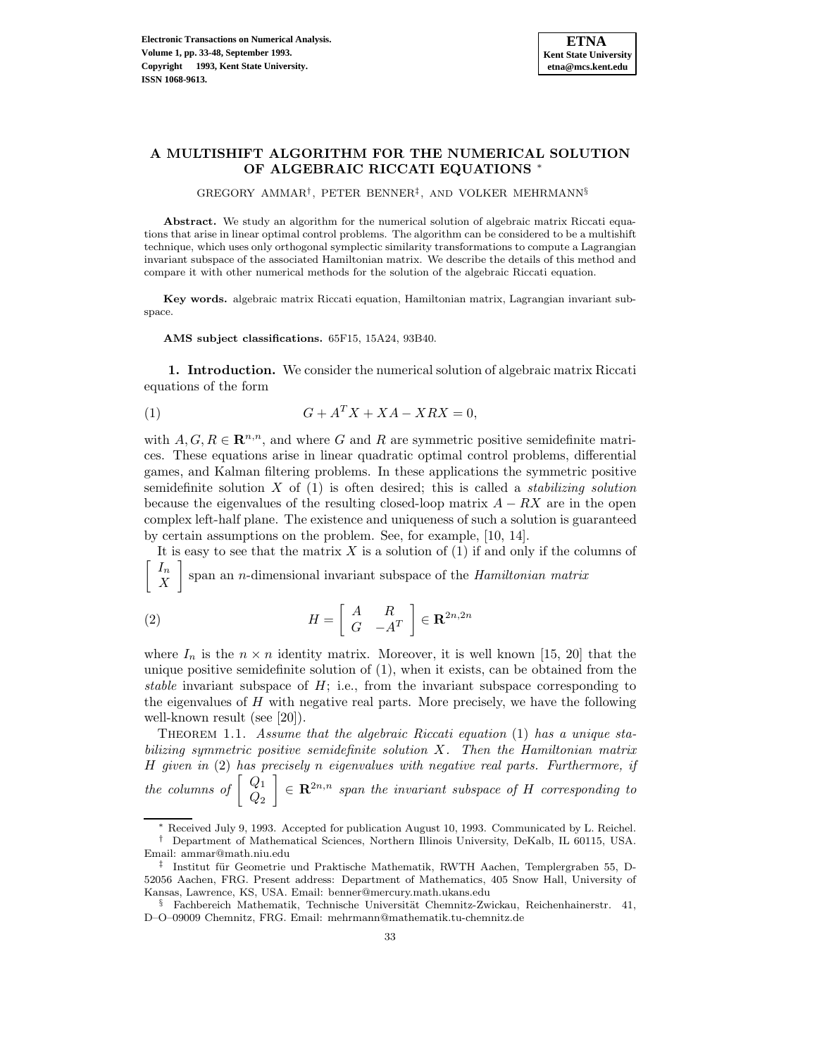# **A MULTISHIFT ALGORITHM FOR THE NUMERICAL SOLUTION OF ALGEBRAIC RICCATI EQUATIONS** <sup>∗</sup>

GREGORY AMMAR†, PETER BENNER‡, AND VOLKER MEHRMANN§

**Abstract.** We study an algorithm for the numerical solution of algebraic matrix Riccati equations that arise in linear optimal control problems. The algorithm can be considered to be a multishift technique, which uses only orthogonal symplectic similarity transformations to compute a Lagrangian invariant subspace of the associated Hamiltonian matrix. We describe the details of this method and compare it with other numerical methods for the solution of the algebraic Riccati equation.

**Key words.** algebraic matrix Riccati equation, Hamiltonian matrix, Lagrangian invariant subspace.

**AMS subject classifications.** 65F15, 15A24, 93B40.

**1. Introduction.** We consider the numerical solution of algebraic matrix Riccati equations of the form

$$
(1) \tG + A^T X + X A - X R X = 0,
$$

with  $A, G, R \in \mathbb{R}^{n,n}$ , and where G and R are symmetric positive semidefinite matrices. These equations arise in linear quadratic optimal control problems, differential games, and Kalman filtering problems. In these applications the symmetric positive semidefinite solution X of  $(1)$  is often desired; this is called a *stabilizing solution* because the eigenvalues of the resulting closed-loop matrix  $A - RX$  are in the open complex left-half plane. The existence and uniqueness of such a solution is guaranteed by certain assumptions on the problem. See, for example, [10, 14].

It is easy to see that the matrix  $X$  is a solution of  $(1)$  if and only if the columns of  $\lceil$   $I_n$  $|X|$ 1 span an n-dimensional invariant subspace of the Hamiltonian matrix

(2) 
$$
H = \begin{bmatrix} A & R \\ G & -A^T \end{bmatrix} \in \mathbf{R}^{2n,2n}
$$

where  $I_n$  is the  $n \times n$  identity matrix. Moreover, it is well known [15, 20] that the unique positive semidefinite solution of (1), when it exists, can be obtained from the stable invariant subspace of  $H$ ; i.e., from the invariant subspace corresponding to the eigenvalues of  $H$  with negative real parts. More precisely, we have the following well-known result (see [20]).

THEOREM 1.1. Assume that the algebraic Riccati equation (1) has a unique stabilizing symmetric positive semidefinite solution X. Then the Hamiltonian matrix H given in (2) has precisely n eigenvalues with negative real parts. Furthermore, if the columns of  $\begin{bmatrix} Q_1 \\ Q_2 \end{bmatrix}$  $\mathcal{E} \in \mathbb{R}^{2n,n}$  span the invariant subspace of H corresponding to

<sup>∗</sup> Received July 9, 1993. Accepted for publication August 10, 1993. Communicated by L. Reichel. † Department of Mathematical Sciences, Northern Illinois University, DeKalb, IL 60115, USA.

Email: ammar@math.niu.edu

<sup>‡</sup> Institut für Geometrie und Praktische Mathematik, RWTH Aachen, Templergraben 55, D-52056 Aachen, FRG. Present address: Department of Mathematics, 405 Snow Hall, University of Kansas, Lawrence, KS, USA. Email: benner@mercury.math.ukans.edu

<sup>§</sup> Fachbereich Mathematik, Technische Universität Chemnitz-Zwickau, Reichenhainerstr. 41, D–O–09009 Chemnitz, FRG. Email: mehrmann@mathematik.tu-chemnitz.de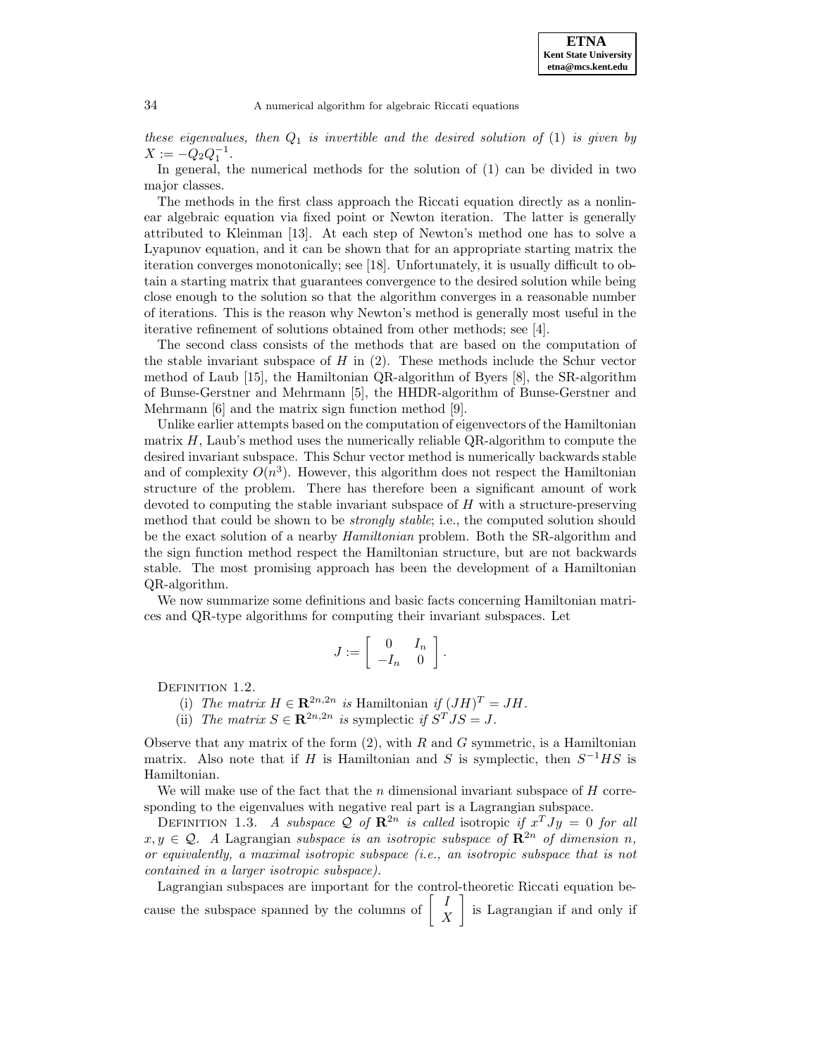these eigenvalues, then  $Q_1$  is invertible and the desired solution of (1) is given by  $X := -Q_2 Q_1^{-1}.$ 

In general, the numerical methods for the solution of (1) can be divided in two major classes.

The methods in the first class approach the Riccati equation directly as a nonlinear algebraic equation via fixed point or Newton iteration. The latter is generally attributed to Kleinman [13]. At each step of Newton's method one has to solve a Lyapunov equation, and it can be shown that for an appropriate starting matrix the iteration converges monotonically; see [18]. Unfortunately, it is usually difficult to obtain a starting matrix that guarantees convergence to the desired solution while being close enough to the solution so that the algorithm converges in a reasonable number of iterations. This is the reason why Newton's method is generally most useful in the iterative refinement of solutions obtained from other methods; see [4].

The second class consists of the methods that are based on the computation of the stable invariant subspace of  $H$  in  $(2)$ . These methods include the Schur vector method of Laub [15], the Hamiltonian QR-algorithm of Byers [8], the SR-algorithm of Bunse-Gerstner and Mehrmann [5], the HHDR-algorithm of Bunse-Gerstner and Mehrmann [6] and the matrix sign function method [9].

Unlike earlier attempts based on the computation of eigenvectors of the Hamiltonian matrix  $H$ , Laub's method uses the numerically reliable QR-algorithm to compute the desired invariant subspace. This Schur vector method is numerically backwards stable and of complexity  $O(n^3)$ . However, this algorithm does not respect the Hamiltonian structure of the problem. There has therefore been a significant amount of work devoted to computing the stable invariant subspace of  $H$  with a structure-preserving method that could be shown to be *strongly stable*; i.e., the computed solution should be the exact solution of a nearby *Hamiltonian* problem. Both the SR-algorithm and the sign function method respect the Hamiltonian structure, but are not backwards stable. The most promising approach has been the development of a Hamiltonian QR-algorithm.

We now summarize some definitions and basic facts concerning Hamiltonian matrices and QR-type algorithms for computing their invariant subspaces. Let

$$
J:=\left[\begin{array}{cc}0 & I_n\\-I_n & 0\end{array}\right].
$$

DEFINITION 1.2.

(i) The matrix  $H \in \mathbb{R}^{2n,2n}$  is Hamiltonian if  $(JH)^T = JH$ .

(ii) The matrix  $S \in \mathbb{R}^{2n,2n}$  is symplectic if  $S^T J S = J$ .

Observe that any matrix of the form  $(2)$ , with R and G symmetric, is a Hamiltonian matrix. Also note that if H is Hamiltonian and S is symplectic, then  $S^{-1}HS$  is Hamiltonian.

We will make use of the fact that the n dimensional invariant subspace of  $H$  corresponding to the eigenvalues with negative real part is a Lagrangian subspace.

DEFINITION 1.3. A subspace Q of  $\mathbb{R}^{2n}$  is called isotropic if  $x^T J y = 0$  for all  $x,y \in \mathcal{Q}$ . A Lagrangian subspace is an isotropic subspace of  $\mathbb{R}^{2n}$  of dimension n, or equivalently, a maximal isotropic subspace (i.e., an isotropic subspace that is not contained in a larger isotropic subspace).

Lagrangian subspaces are important for the control-theoretic Riccati equation because the subspace spanned by the columns of  $\begin{bmatrix} I \\ X \end{bmatrix}$ 1 is Lagrangian if and only if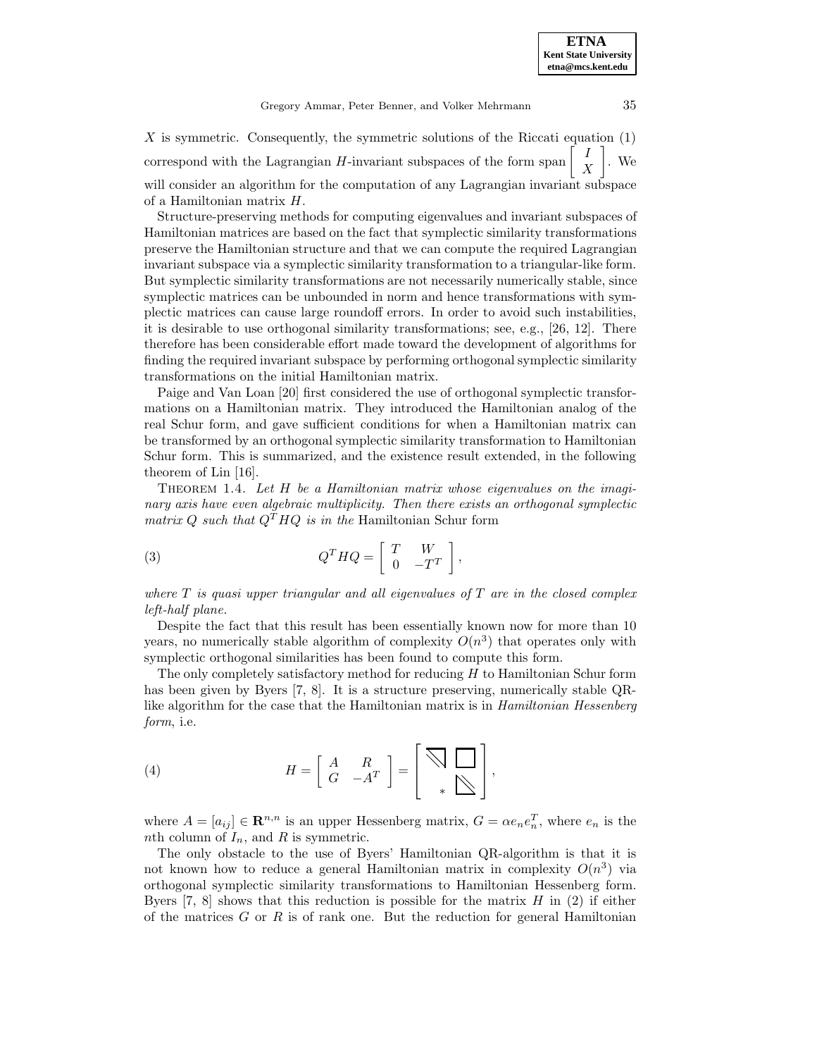X is symmetric. Consequently, the symmetric solutions of the Riccati equation  $(1)$ correspond with the Lagrangian H-invariant subspaces of the form span  $\begin{bmatrix} I \\ X \end{bmatrix}$ 1 . We will consider an algorithm for the computation of any Lagrangian invariant subspace of a Hamiltonian matrix H.

Structure-preserving methods for computing eigenvalues and invariant subspaces of Hamiltonian matrices are based on the fact that symplectic similarity transformations preserve the Hamiltonian structure and that we can compute the required Lagrangian invariant subspace via a symplectic similarity transformation to a triangular-like form. But symplectic similarity transformations are not necessarily numerically stable, since symplectic matrices can be unbounded in norm and hence transformations with symplectic matrices can cause large roundoff errors. In order to avoid such instabilities, it is desirable to use orthogonal similarity transformations; see, e.g., [26, 12]. There therefore has been considerable effort made toward the development of algorithms for finding the required invariant subspace by performing orthogonal symplectic similarity transformations on the initial Hamiltonian matrix.

Paige and Van Loan [20] first considered the use of orthogonal symplectic transformations on a Hamiltonian matrix. They introduced the Hamiltonian analog of the real Schur form, and gave sufficient conditions for when a Hamiltonian matrix can be transformed by an orthogonal symplectic similarity transformation to Hamiltonian Schur form. This is summarized, and the existence result extended, in the following theorem of Lin [16].

THEOREM 1.4. Let  $H$  be a Hamiltonian matrix whose eigenvalues on the imaginary axis have even algebraic multiplicity. Then there exists an orthogonal symplectic matrix Q such that  $Q<sup>T</sup>HQ$  is in the Hamiltonian Schur form

(3) 
$$
Q^T H Q = \left[ \begin{array}{cc} T & W \\ 0 & -T^T \end{array} \right],
$$

where  $T$  is quasi upper triangular and all eigenvalues of  $T$  are in the closed complex left-half plane.

Despite the fact that this result has been essentially known now for more than 10 years, no numerically stable algorithm of complexity  $O(n^3)$  that operates only with symplectic orthogonal similarities has been found to compute this form.

The only completely satisfactory method for reducing  $H$  to Hamiltonian Schur form has been given by Byers [7, 8]. It is a structure preserving, numerically stable QRlike algorithm for the case that the Hamiltonian matrix is in Hamiltonian Hessenberg form, i.e.

(4) 
$$
H = \left[ \begin{array}{cc} A & R \\ G & -A^T \end{array} \right] = \left[ \begin{array}{c} \bigtriangledown \\ \bigtriangledown \\ * \bigtriangledown \end{array} \right],
$$

where  $A = [a_{ij}] \in \mathbf{R}^{n,n}$  is an upper Hessenberg matrix,  $G = \alpha e_n e_n^T$ , where  $e_n$  is the nth column of  $I_n$ , and R is symmetric.

The only obstacle to the use of Byers' Hamiltonian QR-algorithm is that it is not known how to reduce a general Hamiltonian matrix in complexity  $O(n^3)$  via orthogonal symplectic similarity transformations to Hamiltonian Hessenberg form. Byers  $[7, 8]$  shows that this reduction is possible for the matrix H in (2) if either of the matrices  $G$  or  $R$  is of rank one. But the reduction for general Hamiltonian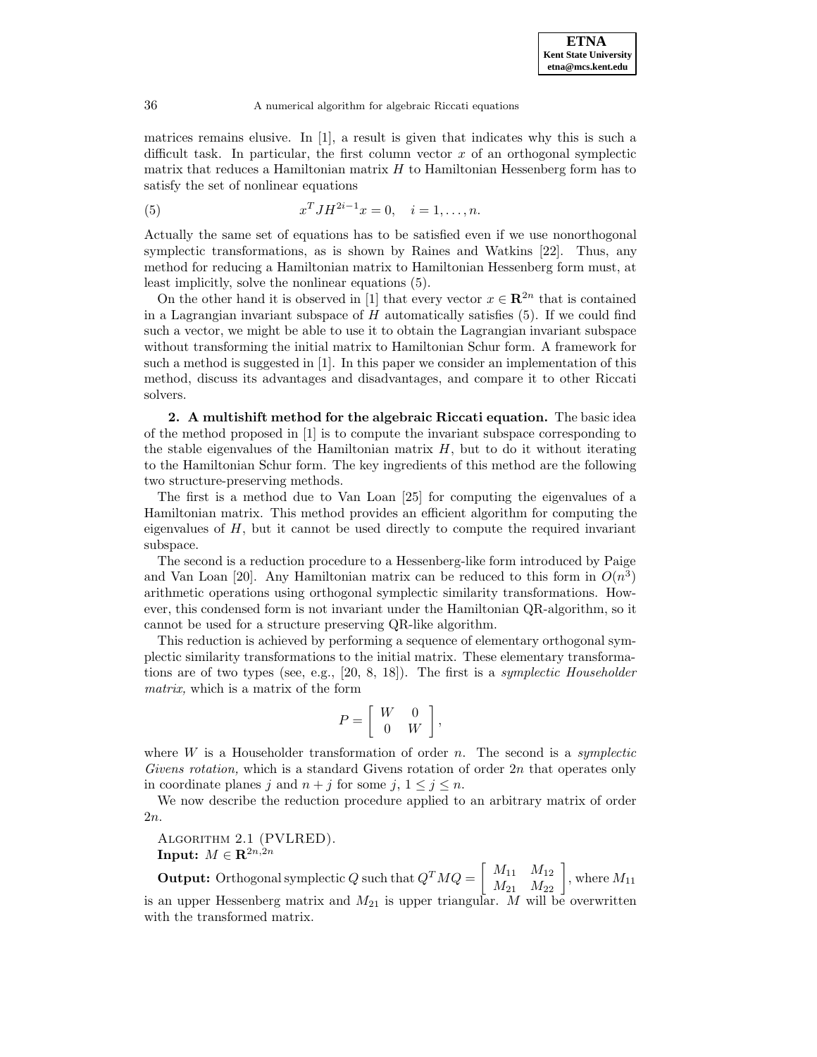matrices remains elusive. In [1], a result is given that indicates why this is such a difficult task. In particular, the first column vector  $x$  of an orthogonal symplectic matrix that reduces a Hamiltonian matrix  $H$  to Hamiltonian Hessenberg form has to satisfy the set of nonlinear equations

(5) 
$$
x^T J H^{2i-1} x = 0, \quad i = 1, ..., n.
$$

Actually the same set of equations has to be satisfied even if we use nonorthogonal symplectic transformations, as is shown by Raines and Watkins [22]. Thus, any method for reducing a Hamiltonian matrix to Hamiltonian Hessenberg form must, at least implicitly, solve the nonlinear equations (5).

On the other hand it is observed in [1] that every vector  $x \in \mathbb{R}^{2n}$  that is contained in a Lagrangian invariant subspace of  $H$  automatically satisfies  $(5)$ . If we could find such a vector, we might be able to use it to obtain the Lagrangian invariant subspace without transforming the initial matrix to Hamiltonian Schur form. A framework for such a method is suggested in [1]. In this paper we consider an implementation of this method, discuss its advantages and disadvantages, and compare it to other Riccati solvers.

**2. A multishift method for the algebraic Riccati equation.** The basic idea of the method proposed in [1] is to compute the invariant subspace corresponding to the stable eigenvalues of the Hamiltonian matrix  $H$ , but to do it without iterating to the Hamiltonian Schur form. The key ingredients of this method are the following two structure-preserving methods.

The first is a method due to Van Loan [25] for computing the eigenvalues of a Hamiltonian matrix. This method provides an efficient algorithm for computing the eigenvalues of  $H$ , but it cannot be used directly to compute the required invariant subspace.

The second is a reduction procedure to a Hessenberg-like form introduced by Paige and Van Loan [20]. Any Hamiltonian matrix can be reduced to this form in  $O(n^3)$ arithmetic operations using orthogonal symplectic similarity transformations. However, this condensed form is not invariant under the Hamiltonian QR-algorithm, so it cannot be used for a structure preserving QR-like algorithm.

This reduction is achieved by performing a sequence of elementary orthogonal symplectic similarity transformations to the initial matrix. These elementary transformations are of two types (see, e.g.,  $[20, 8, 18]$ ). The first is a *symplectic Householder* matrix, which is a matrix of the form

$$
P = \left[ \begin{array}{cc} W & 0 \\ 0 & W \end{array} \right],
$$

where  $W$  is a Householder transformation of order n. The second is a *symplectic* Givens rotation, which is a standard Givens rotation of order 2n that operates only in coordinate planes j and  $n + j$  for some j,  $1 \le j \le n$ .

We now describe the reduction procedure applied to an arbitrary matrix of order 2n.

Algorithm 2.1 (PVLRED). **Input:**  $M \in \mathbb{R}^{2n,2n}$ 

**Output:** Orthogonal symplectic Q such that  $Q^T M Q = \begin{bmatrix} M_{11} & M_{12} \\ M_{21} & M_{22} \end{bmatrix}$ , where  $M_{11}$ is an upper Hessenberg matrix and  $M_{21}$  is upper triangular. M will be overwritten with the transformed matrix.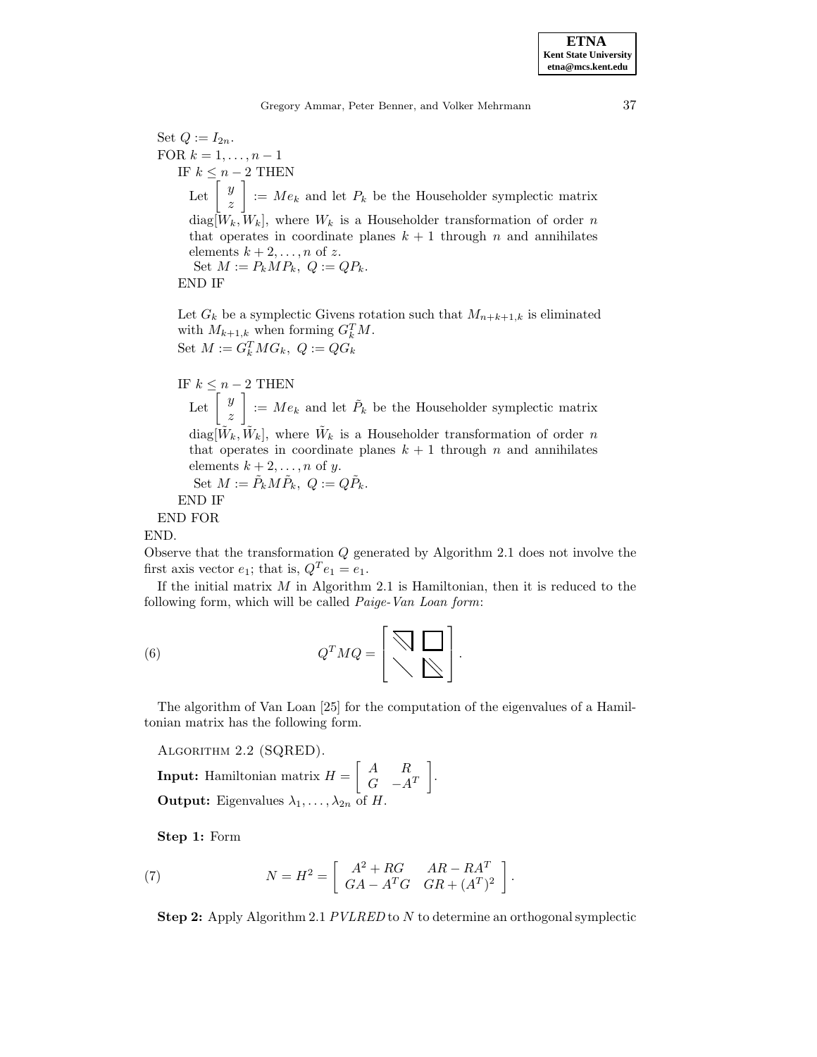**etna@mcs.kent.edu**

Set  $Q := I_{2n}$ . FOR  $k = 1, \ldots, n - 1$ IF  $k \leq n-2$  THEN Let  $\left[\begin{array}{c} y \\ z \end{array}\right]$ 1  $:= Me_k$  and let  $P_k$  be the Householder symplectic matrix  $diag[W_k, W_k]$ , where  $W_k$  is a Householder transformation of order n that operates in coordinate planes  $k + 1$  through n and annihilates elements  $k + 2, \ldots, n$  of z. Set  $M := P_k M P_k$ ,  $Q := Q P_k$ .

END IF

Let  $G_k$  be a symplectic Givens rotation such that  $M_{n+k+1,k}$  is eliminated with  $M_{k+1,k}$  when forming  $G_k^T M$ . Set  $M := G_k^T M G_k$ ,  $Q := Q G_k$ 

IF  $k \leq n-2$  THEN Let  $\left[\begin{array}{c} y \\ z \end{array}\right]$  $\Big] := Me_k$  and let  $\tilde{P}_k$  be the Householder symplectic matrix  $diag[\tilde{W}_k, \tilde{W}_k]$ , where  $\tilde{W}_k$  is a Householder transformation of order n that operates in coordinate planes  $k + 1$  through n and annihilates elements  $k + 2, \ldots, n$  of y. Set  $M := \tilde{P}_k M \tilde{P}_k, Q := Q \tilde{P}_k.$ END IF

END FOR

END.

Observe that the transformation Q generated by Algorithm 2.1 does not involve the first axis vector  $e_1$ ; that is,  $Q^T e_1 = e_1$ .

If the initial matrix  $M$  in Algorithm 2.1 is Hamiltonian, then it is reduced to the following form, which will be called *Paige-Van Loan form*:

(6) 
$$
Q^T M Q = \left[ \begin{array}{c} \bigtriangledown \\ \bigtriangleup \end{array} \right].
$$

The algorithm of Van Loan [25] for the computation of the eigenvalues of a Hamiltonian matrix has the following form.

Algorithm 2.2 (SQRED).

**Input:** Hamiltonian matrix  $H = \begin{bmatrix} A & R \ C & A \end{bmatrix}$  $G \quad -A^T$ 1 . **Output:** Eigenvalues  $\lambda_1, \ldots, \lambda_{2n}$  of H.

**Step 1:** Form

(7) 
$$
N = H^2 = \left[ \begin{array}{cc} A^2 + RG & AR - RA^T \\ GA - A^T G & GR + (A^T)^2 \end{array} \right].
$$

**Step 2:** Apply Algorithm 2.1 *PVLRED* to N to determine an orthogonal symplectic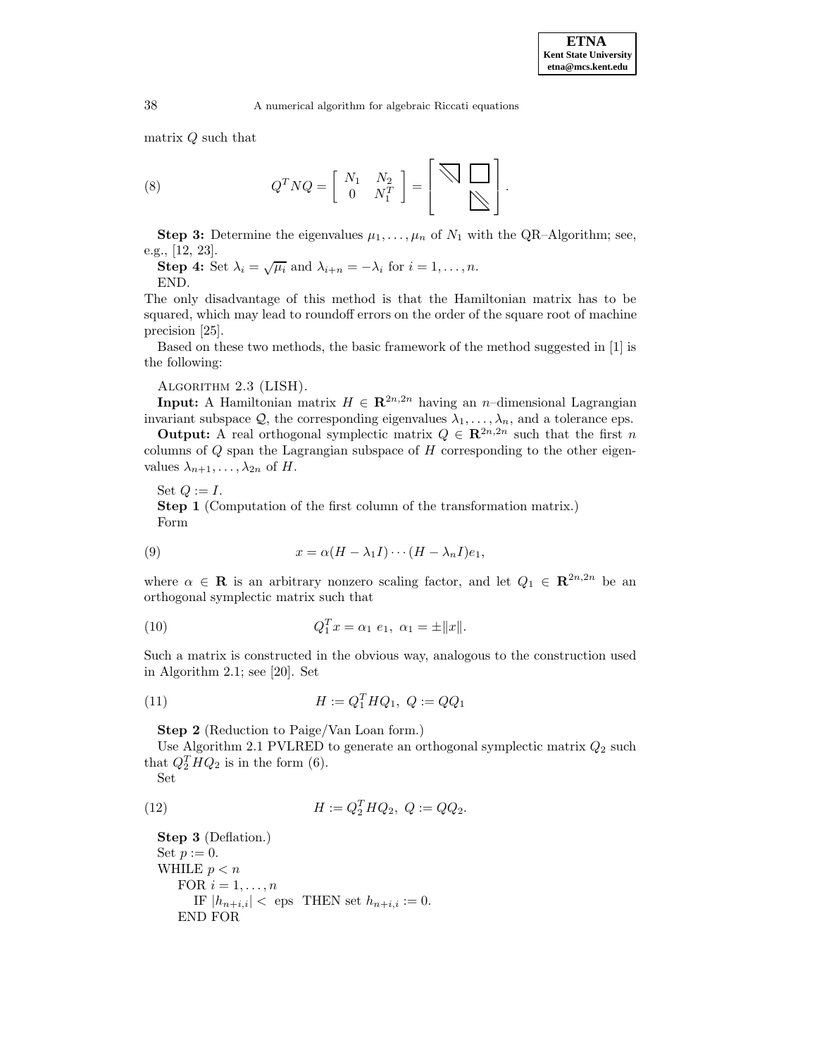Ē

matrix Q such that

(8) 
$$
Q^T N Q = \left[ \begin{array}{cc} N_1 & N_2 \\ 0 & N_1^T \end{array} \right] = \left[ \begin{array}{cc} \bigtriangledown & \bigtriangledown \\ \bigtriangledown & \bigtriangledown \end{array} \right].
$$

**Step 3:** Determine the eigenvalues  $\mu_1, \ldots, \mu_n$  of  $N_1$  with the QR-Algorithm; see, e.g., [12, 23].

**Step 4:** Set  $\lambda_i = \sqrt{\mu_i}$  and  $\lambda_{i+n} = -\lambda_i$  for  $i = 1, \ldots, n$ . END.

The only disadvantage of this method is that the Hamiltonian matrix has to be squared, which may lead to roundoff errors on the order of the square root of machine precision [25].

Based on these two methods, the basic framework of the method suggested in [1] is the following:

Algorithm 2.3 (LISH).

**Input:** A Hamiltonian matrix  $H \in \mathbb{R}^{2n,2n}$  having an n–dimensional Lagrangian invariant subspace  $\mathcal{Q}$ , the corresponding eigenvalues  $\lambda_1, \ldots, \lambda_n$ , and a tolerance eps.

**Output:** A real orthogonal symplectic matrix  $Q \in \mathbb{R}^{2n,2n}$  such that the first n columns of  $Q$  span the Lagrangian subspace of  $H$  corresponding to the other eigenvalues  $\lambda_{n+1}, \ldots, \lambda_{2n}$  of H.

Set  $Q := I$ . **Step 1** (Computation of the first column of the transformation matrix.) Form

(9) 
$$
x = \alpha (H - \lambda_1 I) \cdots (H - \lambda_n I) e_1,
$$

where  $\alpha \in \mathbf{R}$  is an arbitrary nonzero scaling factor, and let  $Q_1 \in \mathbf{R}^{2n,2n}$  be an orthogonal symplectic matrix such that

(10) 
$$
Q_1^T x = \alpha_1 e_1, \ \alpha_1 = \pm ||x||.
$$

Such a matrix is constructed in the obvious way, analogous to the construction used in Algorithm 2.1; see [20]. Set

(11) 
$$
H := Q_1^T H Q_1, \ Q := QQ_1
$$

**Step 2** (Reduction to Paige/Van Loan form.)

Use Algorithm 2.1 PVLRED to generate an orthogonal symplectic matrix  $Q_2$  such that  $Q_2^THQ_2$  is in the form (6).

Set

(12) 
$$
H := Q_2^T H Q_2, \ Q := QQ_2.
$$

**Step 3** (Deflation.) Set  $p := 0$ . WHILE  $p < n$ FOR  $i = 1, \ldots, n$ IF  $|h_{n+i,i}| <$  eps THEN set  $h_{n+i,i} := 0$ . END FOR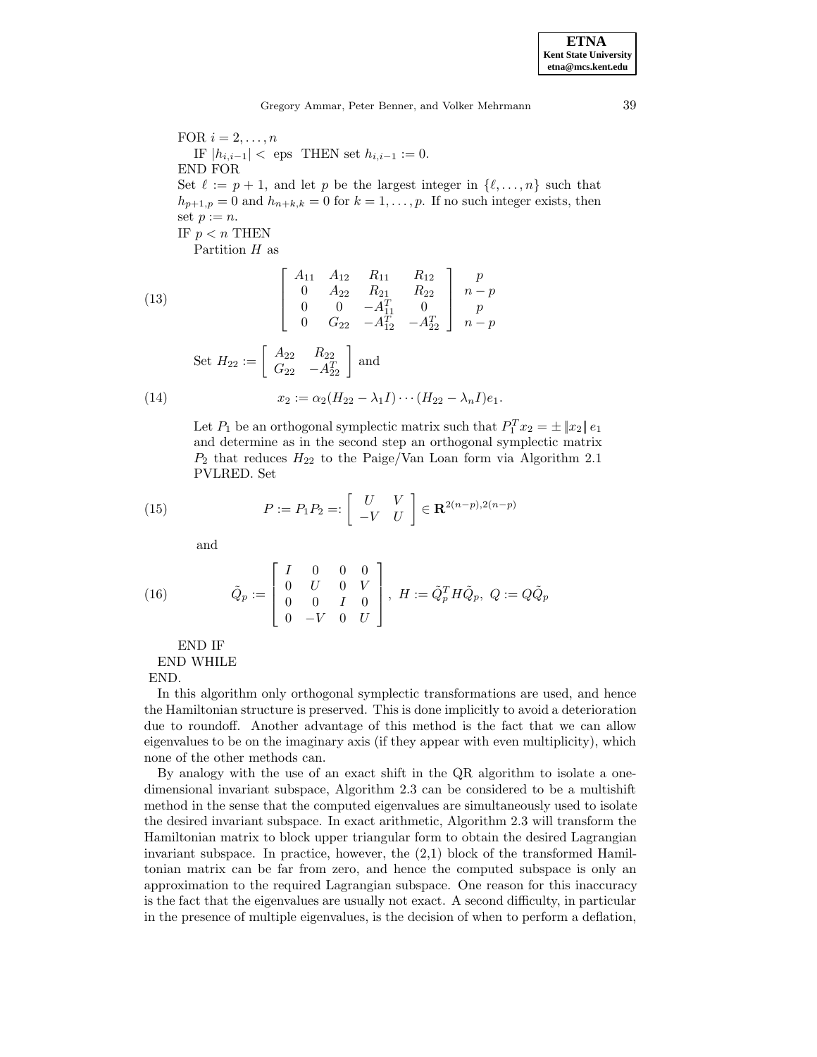FOR  $i = 2, \ldots, n$ IF  $|h_{i,i-1}| <$  eps THEN set  $h_{i,i-1} := 0$ . END FOR Set  $\ell := p + 1$ , and let p be the largest integer in  $\{\ell, \ldots, n\}$  such that  $h_{p+1,p} = 0$  and  $h_{n+k,k} = 0$  for  $k = 1, \ldots, p$ . If no such integer exists, then set  $p := n$ . IF  $p < n$  THEN Partition H as

(13)  
\n
$$
\begin{bmatrix}\nA_{11} & A_{12} & R_{11} & R_{12} \\
0 & A_{22} & R_{21} & R_{22} \\
0 & 0 & -A_{11}^T & 0 \\
0 & G_{22} & -A_{12}^T & -A_{22}^T\n\end{bmatrix}\n\begin{bmatrix}\np \\
n-p \\
p \\
n-p\n\end{bmatrix}
$$
\nSet  $H_{22} := \begin{bmatrix}\nA_{22} & R_{22} \\
G_{22} & -A_{22}^T\n\end{bmatrix}$  and  
\n(14)  
\n $x_2 := \alpha_2 (H_{22} - \lambda_1 I) \cdots (H_{22} - \lambda_n I) e_1$ .

Let  $P_1$  be an orthogonal symplectic matrix such that  $P_1^T x_2 = \pm |x_2||e_1$ and determine as in the second step an orthogonal symplectic matrix  $P_2$  that reduces  $H_{22}$  to the Paige/Van Loan form via Algorithm 2.1 PVLRED. Set

(15) 
$$
P := P_1 P_2 =: \left[ \begin{array}{cc} U & V \\ -V & U \end{array} \right] \in \mathbf{R}^{2(n-p), 2(n-p)}
$$

and

(16) 
$$
\tilde{Q}_p := \begin{bmatrix} I & 0 & 0 & 0 \\ 0 & U & 0 & V \\ 0 & 0 & I & 0 \\ 0 & -V & 0 & U \end{bmatrix}, H := \tilde{Q}_p^T H \tilde{Q}_p, Q := Q \tilde{Q}_p
$$

END IF

END WHILE

END.

In this algorithm only orthogonal symplectic transformations are used, and hence the Hamiltonian structure is preserved. This is done implicitly to avoid a deterioration due to roundoff. Another advantage of this method is the fact that we can allow eigenvalues to be on the imaginary axis (if they appear with even multiplicity), which none of the other methods can.

By analogy with the use of an exact shift in the QR algorithm to isolate a onedimensional invariant subspace, Algorithm 2.3 can be considered to be a multishift method in the sense that the computed eigenvalues are simultaneously used to isolate the desired invariant subspace. In exact arithmetic, Algorithm 2.3 will transform the Hamiltonian matrix to block upper triangular form to obtain the desired Lagrangian invariant subspace. In practice, however, the  $(2,1)$  block of the transformed Hamiltonian matrix can be far from zero, and hence the computed subspace is only an approximation to the required Lagrangian subspace. One reason for this inaccuracy is the fact that the eigenvalues are usually not exact. A second difficulty, in particular in the presence of multiple eigenvalues, is the decision of when to perform a deflation,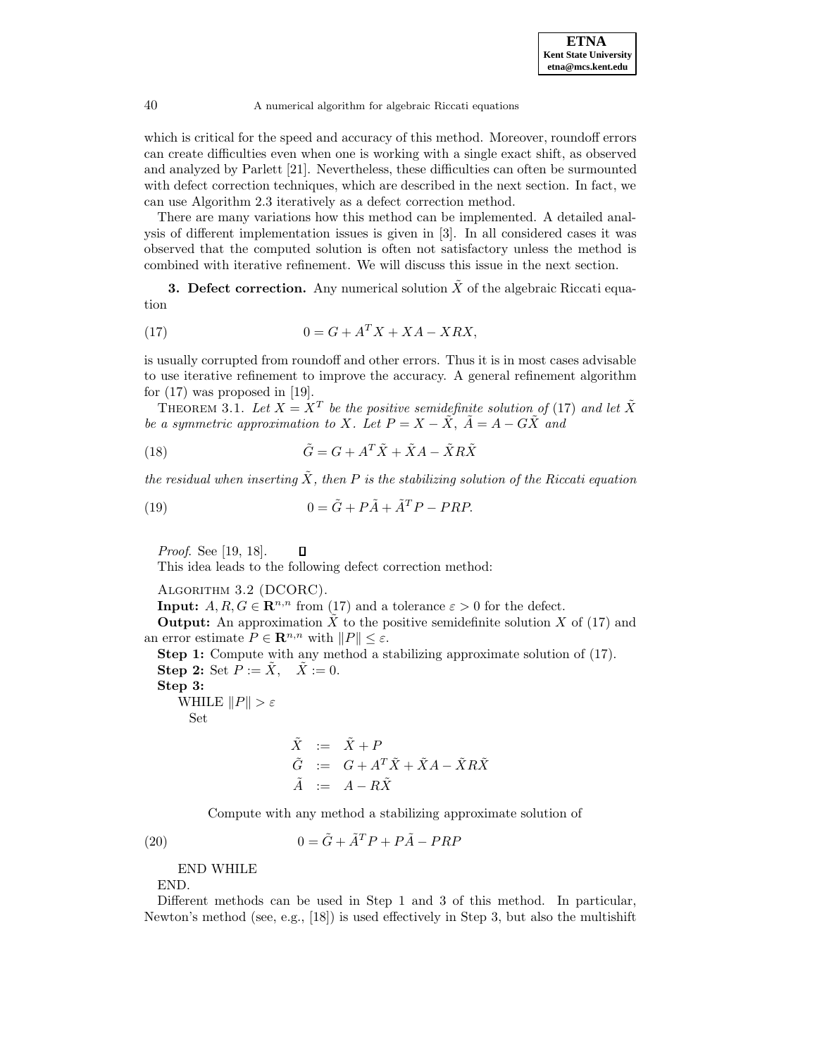which is critical for the speed and accuracy of this method. Moreover, roundoff errors can create difficulties even when one is working with a single exact shift, as observed and analyzed by Parlett [21]. Nevertheless, these difficulties can often be surmounted with defect correction techniques, which are described in the next section. In fact, we can use Algorithm 2.3 iteratively as a defect correction method.

There are many variations how this method can be implemented. A detailed analysis of different implementation issues is given in [3]. In all considered cases it was observed that the computed solution is often not satisfactory unless the method is combined with iterative refinement. We will discuss this issue in the next section.

**3. Defect correction.** Any numerical solution  $\tilde{X}$  of the algebraic Riccati equation

$$
(17) \t\t\t 0 = G + A^T X + XA - XRX,
$$

is usually corrupted from roundoff and other errors. Thus it is in most cases advisable to use iterative refinement to improve the accuracy. A general refinement algorithm for (17) was proposed in [19].

THEOREM 3.1. Let  $X = X^T$  be the positive semidefinite solution of (17) and let  $\tilde{X}$ be a symmetric approximation to X. Let  $P = X - \tilde{X}$ ,  $\tilde{A} = A - G\tilde{X}$  and

(18) 
$$
\tilde{G} = G + A^T \tilde{X} + \tilde{X} A - \tilde{X} R \tilde{X}
$$

the residual when inserting  $\tilde{X}$ , then P is the stabilizing solution of the Riccati equation

(19) 
$$
0 = \tilde{G} + P\tilde{A} + \tilde{A}^T P - PRP.
$$

Proof. See [19, 18].  $\Box$ 

This idea leads to the following defect correction method:

```
Algorithm 3.2 (DCORC).
```
**Input:**  $A, R, G \in \mathbb{R}^{n,n}$  from (17) and a tolerance  $\varepsilon > 0$  for the defect.

**Output:** An approximation  $\tilde{X}$  to the positive semidefinite solution X of (17) and an error estimate  $P \in \mathbb{R}^{n,n}$  with  $||P|| \leq \varepsilon$ .

**Step 1:** Compute with any method a stabilizing approximate solution of  $(17)$ . **Step 2:** Set  $P := \tilde{X}, \quad \tilde{X} := 0.$ **Step 3:** WHILE  $||P|| > \varepsilon$ Set

$$
\begin{array}{rcl}\n\tilde{X} & := & \tilde{X} + P \\
\tilde{G} & := & G + A^T \tilde{X} + \tilde{X}A - \tilde{X}R\tilde{X} \\
\tilde{A} & := & A - R\tilde{X}\n\end{array}
$$

Compute with any method a stabilizing approximate solution of

(20)  $0 = \tilde{G} + \tilde{A}^T P + P\tilde{A} - PRP$ 

END WHILE

END.

Different methods can be used in Step 1 and 3 of this method. In particular, Newton's method (see, e.g., [18]) is used effectively in Step 3, but also the multishift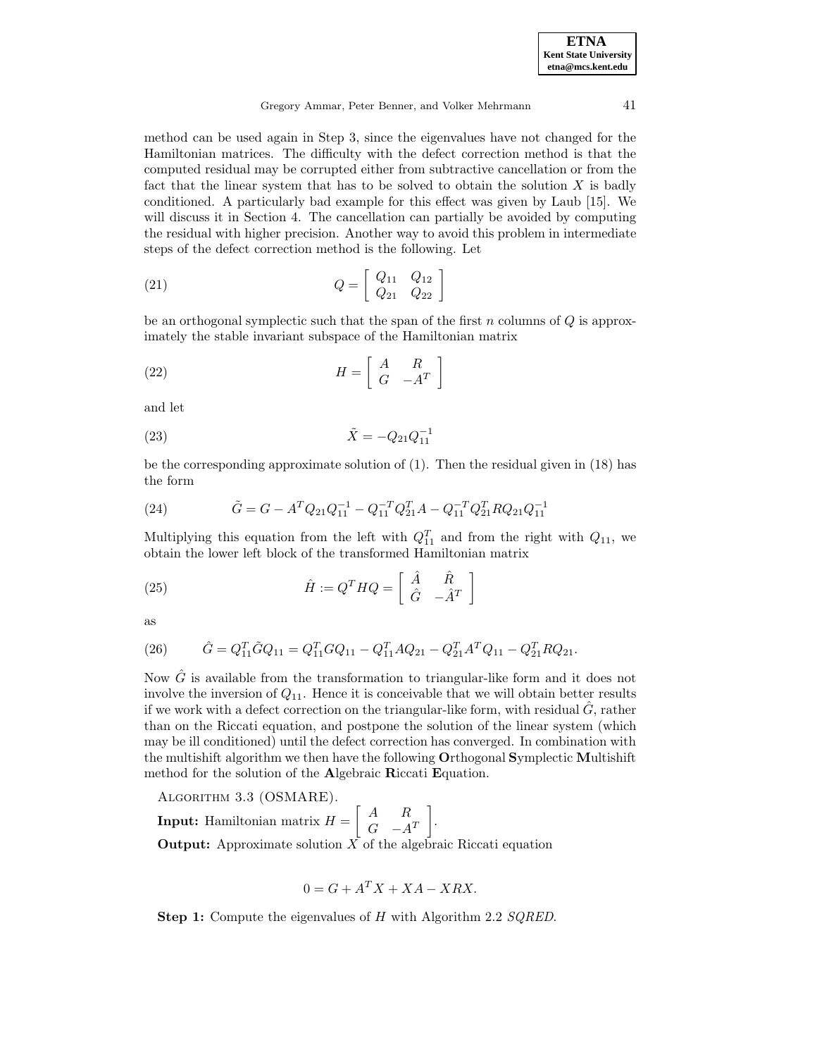method can be used again in Step 3, since the eigenvalues have not changed for the Hamiltonian matrices. The difficulty with the defect correction method is that the computed residual may be corrupted either from subtractive cancellation or from the fact that the linear system that has to be solved to obtain the solution  $X$  is badly conditioned. A particularly bad example for this effect was given by Laub [15]. We will discuss it in Section 4. The cancellation can partially be avoided by computing the residual with higher precision. Another way to avoid this problem in intermediate steps of the defect correction method is the following. Let

$$
(21) \tQ = \begin{bmatrix} Q_{11} & Q_{12} \\ Q_{21} & Q_{22} \end{bmatrix}
$$

be an orthogonal symplectic such that the span of the first n columns of  $Q$  is approximately the stable invariant subspace of the Hamiltonian matrix

(22) 
$$
H = \left[ \begin{array}{cc} A & R \\ G & -A^T \end{array} \right]
$$

and let

(23) 
$$
\tilde{X} = -Q_{21}Q_{11}^{-1}
$$

be the corresponding approximate solution of (1). Then the residual given in (18) has the form

(24) 
$$
\tilde{G} = G - A^T Q_{21} Q_{11}^{-1} - Q_{11}^{-T} Q_{21}^T A - Q_{11}^{-T} Q_{21}^T R Q_{21} Q_{11}^{-1}
$$

Multiplying this equation from the left with  $Q_{11}^T$  and from the right with  $Q_{11}$ , we obtain the lower left block of the transformed Hamiltonian matrix

(25) 
$$
\hat{H} := Q^T H Q = \begin{bmatrix} \hat{A} & \hat{R} \\ \hat{G} & -\hat{A}^T \end{bmatrix}
$$

as

(26) 
$$
\hat{G} = Q_{11}^T \tilde{G} Q_{11} = Q_{11}^T G Q_{11} - Q_{11}^T A Q_{21} - Q_{21}^T A^T Q_{11} - Q_{21}^T R Q_{21}.
$$

Now  $\hat{G}$  is available from the transformation to triangular-like form and it does not involve the inversion of  $Q_{11}$ . Hence it is conceivable that we will obtain better results if we work with a defect correction on the triangular-like form, with residual  $G$ , rather than on the Riccati equation, and postpone the solution of the linear system (which may be ill conditioned) until the defect correction has converged. In combination with the multishift algorithm we then have the following **O**rthogonal **S**ymplectic **M**ultishift method for the solution of the **A**lgebraic **R**iccati **E**quation.

Algorithm 3.3 (OSMARE).

**Input:** Hamiltonian matrix  $H = \begin{bmatrix} A & R \ C & A \end{bmatrix}$  $G \quad -A^T$ 1 . **Output:** Approximate solution  $\overrightarrow{X}$  of the algebraic Riccati equation

$$
0 = G + A^T X + X A - X R X.
$$

**Step 1:** Compute the eigenvalues of H with Algorithm 2.2 SQRED.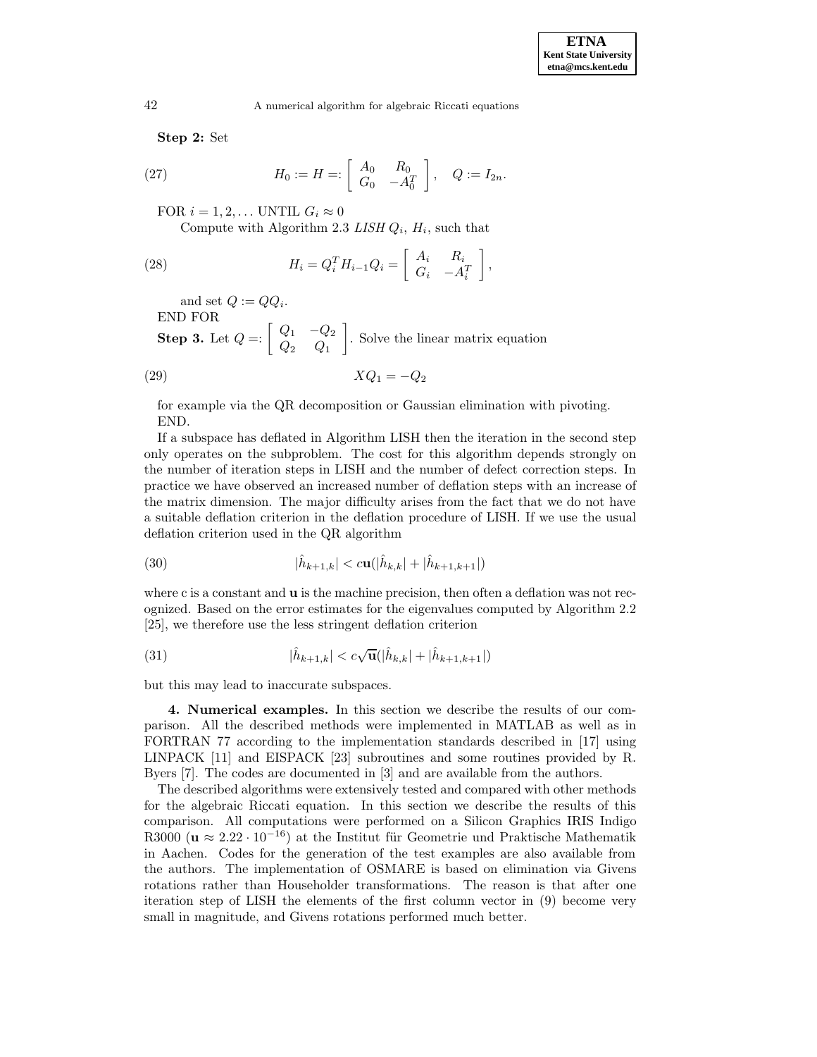**Step 2:** Set

(27) 
$$
H_0 := H =: \begin{bmatrix} A_0 & R_0 \\ G_0 & -A_0^T \end{bmatrix}, \quad Q := I_{2n}.
$$

FOR  $i = 1, 2, \ldots$  UNTIL  $G_i \approx 0$ 

Compute with Algorithm 2.3 LISH  $Q_i$ ,  $H_i$ , such that

(28) 
$$
H_i = Q_i^T H_{i-1} Q_i = \begin{bmatrix} A_i & R_i \\ G_i & -A_i^T \end{bmatrix},
$$

and set  $Q := QQ_i$ .

END FOR

**Step 3.** Let  $Q =: \begin{bmatrix} Q_1 & -Q_2 \\ Q_2 & Q_1 \end{bmatrix}$ 1 . Solve the linear matrix equation

$$
(29) \t\t XQ_1 = -Q_2
$$

for example via the QR decomposition or Gaussian elimination with pivoting. END.

If a subspace has deflated in Algorithm LISH then the iteration in the second step only operates on the subproblem. The cost for this algorithm depends strongly on the number of iteration steps in LISH and the number of defect correction steps. In practice we have observed an increased number of deflation steps with an increase of the matrix dimension. The major difficulty arises from the fact that we do not have a suitable deflation criterion in the deflation procedure of LISH. If we use the usual deflation criterion used in the QR algorithm

(30) 
$$
|\hat{h}_{k+1,k}| < c\mathbf{u}(|\hat{h}_{k,k}| + |\hat{h}_{k+1,k+1}|)
$$

where c is a constant and **u** is the machine precision, then often a deflation was not recognized. Based on the error estimates for the eigenvalues computed by Algorithm 2.2 [25], we therefore use the less stringent deflation criterion

(31) 
$$
|\hat{h}_{k+1,k}| < c\sqrt{\mathbf{u}}(|\hat{h}_{k,k}| + |\hat{h}_{k+1,k+1}|)
$$

but this may lead to inaccurate subspaces.

**4. Numerical examples.** In this section we describe the results of our comparison. All the described methods were implemented in MATLAB as well as in FORTRAN 77 according to the implementation standards described in [17] using LINPACK [11] and EISPACK [23] subroutines and some routines provided by R. Byers [7]. The codes are documented in [3] and are available from the authors.

The described algorithms were extensively tested and compared with other methods for the algebraic Riccati equation. In this section we describe the results of this comparison. All computations were performed on a Silicon Graphics IRIS Indigo R3000 ( $\mathbf{u} \approx 2.22 \cdot 10^{-16}$ ) at the Institut für Geometrie und Praktische Mathematik in Aachen. Codes for the generation of the test examples are also available from the authors. The implementation of OSMARE is based on elimination via Givens rotations rather than Householder transformations. The reason is that after one iteration step of LISH the elements of the first column vector in (9) become very small in magnitude, and Givens rotations performed much better.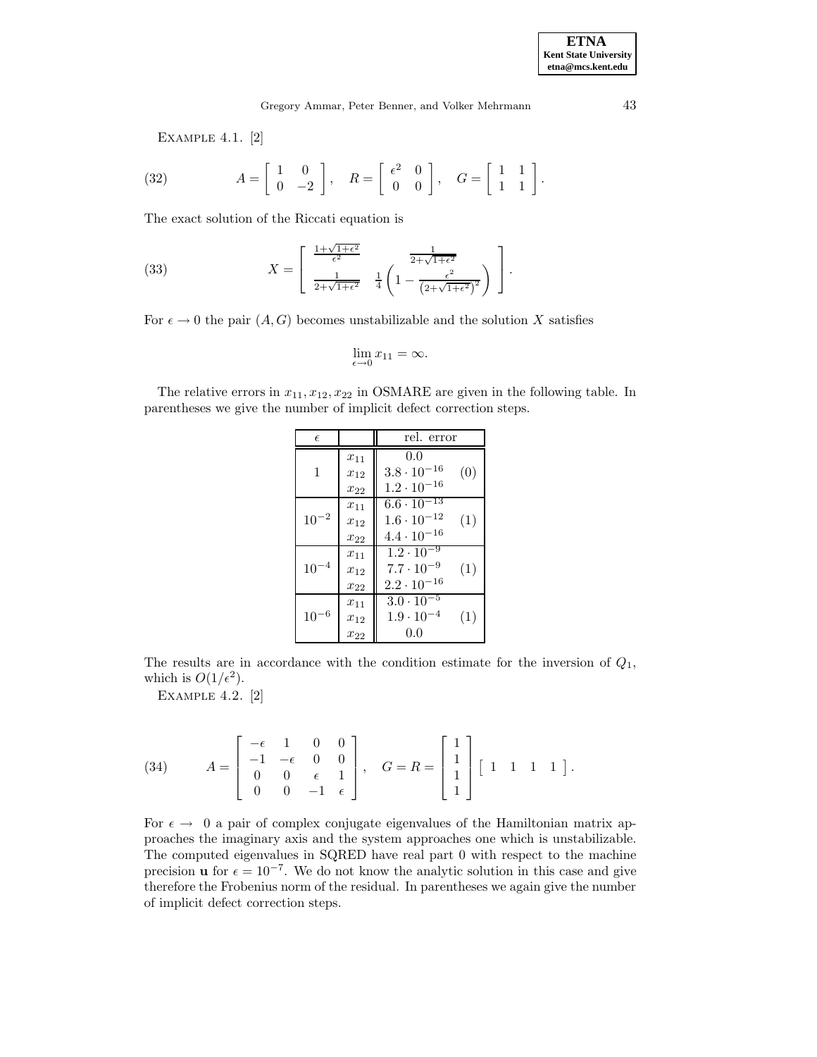Example 4.1. [2]

(32) 
$$
A = \begin{bmatrix} 1 & 0 \\ 0 & -2 \end{bmatrix}, \quad R = \begin{bmatrix} \epsilon^2 & 0 \\ 0 & 0 \end{bmatrix}, \quad G = \begin{bmatrix} 1 & 1 \\ 1 & 1 \end{bmatrix}.
$$

The exact solution of the Riccati equation is

(33) 
$$
X = \begin{bmatrix} \frac{1+\sqrt{1+\epsilon^2}}{\epsilon^2} & \frac{1}{2+\sqrt{1+\epsilon^2}} \\ \frac{1}{2+\sqrt{1+\epsilon^2}} & \frac{1}{4} \left(1 - \frac{\epsilon^2}{\left(2+\sqrt{1+\epsilon^2}\right)^2}\right) \end{bmatrix}.
$$

For  $\epsilon \to 0$  the pair  $(A, G)$  becomes unstabilizable and the solution X satisfies

$$
\lim_{\epsilon \to 0} x_{11} = \infty.
$$

The relative errors in  $x_{11}, x_{12}, x_{22}$  in OSMARE are given in the following table. In parentheses we give the number of implicit defect correction steps.

| $\epsilon$    |          | rel. error                               |  |  |  |
|---------------|----------|------------------------------------------|--|--|--|
|               | $x_{11}$ | 0.0                                      |  |  |  |
| 1             | $x_{12}$ | $3.8 \cdot 10^{-16}$<br>(0)              |  |  |  |
|               | $x_{22}$ | $1.2 \cdot 10^{-16}$                     |  |  |  |
|               | $x_{11}$ | $6.6 \cdot \overline{10^{-13}}$          |  |  |  |
| $^{-2}$<br>10 | $x_{12}$ | $1.6 \cdot 10^{-12}$<br>(1)              |  |  |  |
|               | $x_{22}$ | $4.4 \cdot 10^{-16}$                     |  |  |  |
|               | $x_{11}$ | $1.2 \cdot \overline{10^{-9}}$           |  |  |  |
| $10^{-4}$     | $x_{12}$ | $7.7 \cdot 10^{-9}$<br>(1)               |  |  |  |
|               | $x_{22}$ | $2.2 \cdot 10^{-16}$                     |  |  |  |
|               | $x_{11}$ | $3.0 \cdot 10^{-5}$                      |  |  |  |
| 6<br>10       | $x_{12}$ | $1.9 \cdot 10^{-4}$<br>$\left( 1\right)$ |  |  |  |
|               | $x_{22}$ | 0.0                                      |  |  |  |

The results are in accordance with the condition estimate for the inversion of  $Q_1$ , which is  $O(1/\epsilon^2)$ .

Example 4.2. [2]

(34) 
$$
A = \begin{bmatrix} -\epsilon & 1 & 0 & 0 \\ -1 & -\epsilon & 0 & 0 \\ 0 & 0 & \epsilon & 1 \\ 0 & 0 & -1 & \epsilon \end{bmatrix}, \quad G = R = \begin{bmatrix} 1 \\ 1 \\ 1 \\ 1 \end{bmatrix} [1 \ 1 \ 1 \ 1].
$$

For  $\epsilon \to 0$  a pair of complex conjugate eigenvalues of the Hamiltonian matrix approaches the imaginary axis and the system approaches one which is unstabilizable. The computed eigenvalues in SQRED have real part 0 with respect to the machine precision **u** for  $\epsilon = 10^{-7}$ . We do not know the analytic solution in this case and give therefore the Frobenius norm of the residual. In parentheses we again give the number of implicit defect correction steps.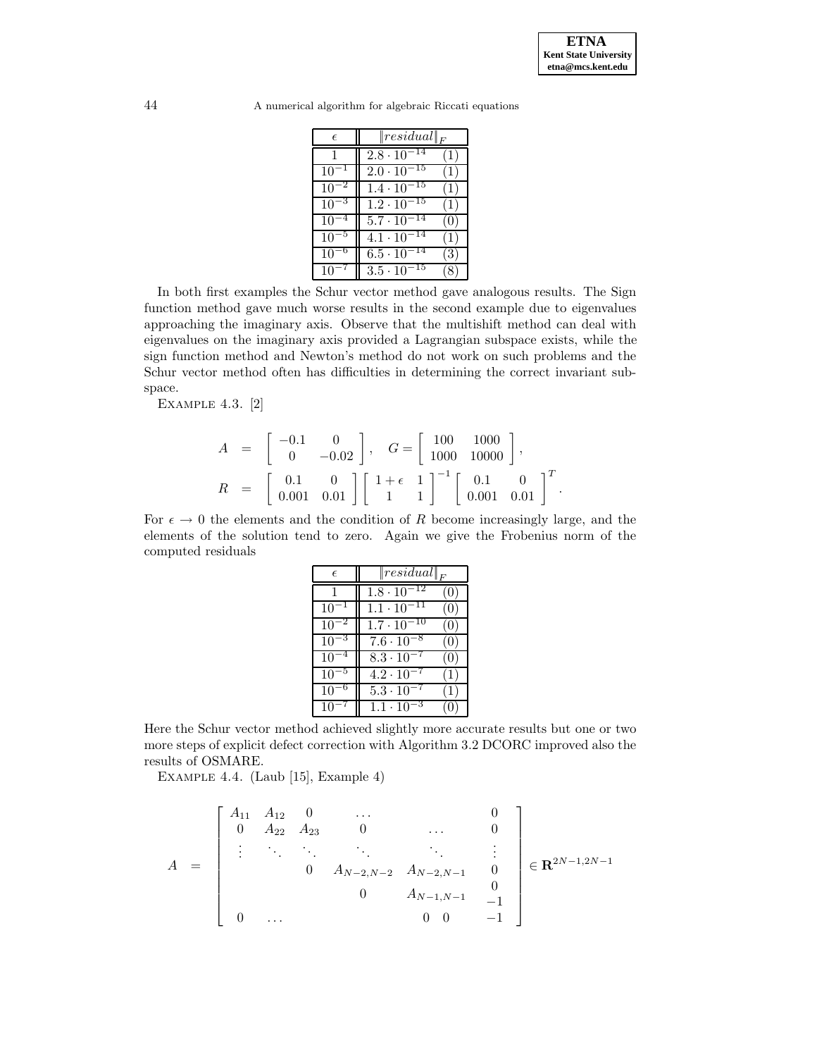.

44 A numerical algorithm for algebraic Riccati equations

| $\epsilon$ | $\ residual\ _F$                |                   |
|------------|---------------------------------|-------------------|
|            | $2.8 \cdot 10^{-14}$            | $\left(1\right)$  |
| $10^{-}$   | $2.0 \cdot \overline{10^{-15}}$ | (1)               |
| $10^{-}$   | $1.4 \cdot \overline{10^{-15}}$ | (1)               |
| $10 -$     | $1.2 \cdot 10^{-15}$            | (1)               |
| $10^{-}$   | $5.7 \cdot 10^{-14}$            | $\left( 0\right)$ |
| $10^{-}$   | $4.\overline{1\cdot 10^{-14}}$  | $\left(1\right)$  |
| 10         | $6.5 \cdot 10^{-14}$            |                   |
|            | 15<br>$3.5 \cdot 10^{-7}$       |                   |

In both first examples the Schur vector method gave analogous results. The Sign function method gave much worse results in the second example due to eigenvalues approaching the imaginary axis. Observe that the multishift method can deal with eigenvalues on the imaginary axis provided a Lagrangian subspace exists, while the sign function method and Newton's method do not work on such problems and the Schur vector method often has difficulties in determining the correct invariant subspace.

Example 4.3. [2]

$$
A = \begin{bmatrix} -0.1 & 0 \\ 0 & -0.02 \end{bmatrix}, \quad G = \begin{bmatrix} 100 & 1000 \\ 1000 & 10000 \end{bmatrix},
$$
  

$$
R = \begin{bmatrix} 0.1 & 0 \\ 0.001 & 0.01 \end{bmatrix} \begin{bmatrix} 1 + \epsilon & 1 \\ 1 & 1 \end{bmatrix}^{-1} \begin{bmatrix} 0.1 & 0 \\ 0.001 & 0.01 \end{bmatrix}^{T}
$$

For  $\epsilon \to 0$  the elements and the condition of R become increasingly large, and the elements of the solution tend to zero. Again we give the Frobenius norm of the computed residuals

| $\epsilon$ | $\ residual\ _F$     |     |
|------------|----------------------|-----|
|            | $1.8 \cdot 10^{-12}$ | 0   |
| 10         | $1.1 \cdot 10^{-11}$ |     |
| 10         | $1.7 \cdot 10^{-10}$ |     |
| 10         | $7.6 \cdot 10^{-8}$  |     |
| 10         | $8.3 \cdot 10^{-7}$  | U.  |
| $10^{-}$   | $4.2 \cdot 10^{-7}$  | (1) |
| 10         | $5.3 \cdot 10^{-7}$  |     |
| 10         | $1.1 \cdot 10^{-3}$  |     |

Here the Schur vector method achieved slightly more accurate results but one or two more steps of explicit defect correction with Algorithm 3.2 DCORC improved also the results of OSMARE.

Example 4.4. (Laub [15], Example 4)

$$
A = \begin{bmatrix} A_{11} & A_{12} & 0 & \dots & & 0 \\ 0 & A_{22} & A_{23} & 0 & \dots & 0 \\ \vdots & \ddots & \ddots & \ddots & \ddots & \ddots & \vdots \\ 0 & A_{N-2,N-2} & A_{N-2,N-1} & 0 & 0 \\ 0 & \dots & & 0 & 0 & -1 \end{bmatrix} \in \mathbf{R}^{2N-1,2N-1}
$$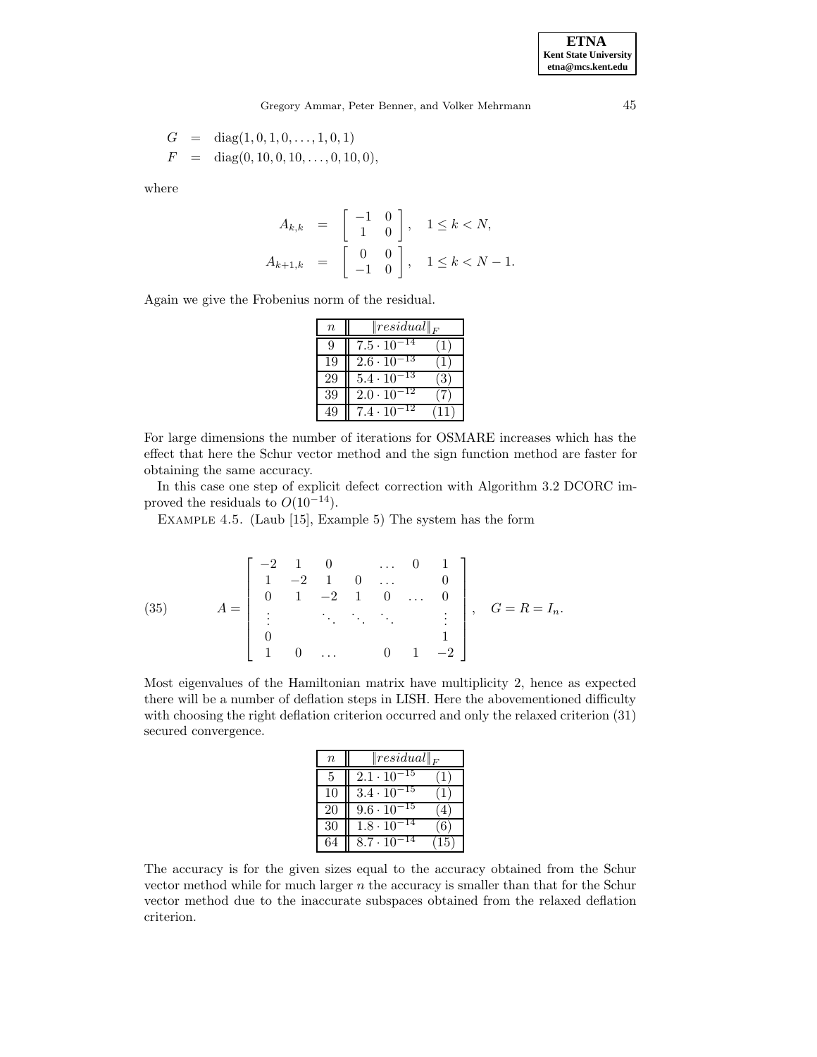$$
G = diag(1, 0, 1, 0, \dots, 1, 0, 1)
$$
  

$$
F = diag(0, 10, 0, 10, \dots, 0, 10, 0),
$$

where

$$
A_{k,k} = \begin{bmatrix} -1 & 0 \\ 1 & 0 \end{bmatrix}, \quad 1 \le k < N,
$$
\n
$$
A_{k+1,k} = \begin{bmatrix} 0 & 0 \\ -1 & 0 \end{bmatrix}, \quad 1 \le k < N - 1.
$$

Again we give the Frobenius norm of the residual.

| $\, n$ | $\ residual\ _F$           |              |
|--------|----------------------------|--------------|
| 9      | -14<br>$7.5 \cdot 10$      | $\cdot$ 1    |
| 19     | $^{-13}$<br>$2.6 \cdot 10$ | $\mathbf{I}$ |
| 29     | -13<br>$5.4 \cdot 10^{-7}$ | (3)          |
| 39     | 12<br>$2.0 \cdot 10$       |              |
|        | 12<br>$7.4 \cdot 10$       |              |

For large dimensions the number of iterations for OSMARE increases which has the effect that here the Schur vector method and the sign function method are faster for obtaining the same accuracy.

In this case one step of explicit defect correction with Algorithm 3.2 DCORC improved the residuals to  $O(10^{-14})$ .

Example 4.5. (Laub [15], Example 5) The system has the form

(35) 
$$
A = \begin{bmatrix} -2 & 1 & 0 & \dots & 0 & 1 \\ 1 & -2 & 1 & 0 & \dots & 0 \\ 0 & 1 & -2 & 1 & 0 & \dots & 0 \\ \vdots & \vdots & \ddots & \ddots & \ddots & \vdots \\ 0 & & & & 1 & 0 \\ 1 & 0 & \dots & 0 & 1 & -2 \end{bmatrix}, \quad G = R = I_n.
$$

Most eigenvalues of the Hamiltonian matrix have multiplicity 2, hence as expected there will be a number of deflation steps in LISH. Here the abovementioned difficulty with choosing the right deflation criterion occurred and only the relaxed criterion (31) secured convergence.

| $\, n$ | $\ residual\ _F$               |              |
|--------|--------------------------------|--------------|
| 5      | $2.\overline{1\cdot 10^{-15}}$ |              |
| 10     | $3.\overline{4\cdot 10^{-15}}$ |              |
| 20     | $9.6 \cdot 10^{-15}$           |              |
| 30     | $1.8 \cdot 10^{-14}$           | 66           |
| 64     | $8.7 \cdot 10^{-14}$           | $15^{\circ}$ |

The accuracy is for the given sizes equal to the accuracy obtained from the Schur vector method while for much larger  $n$  the accuracy is smaller than that for the Schur vector method due to the inaccurate subspaces obtained from the relaxed deflation criterion.

**ETNA Kent State University etna@mcs.kent.edu**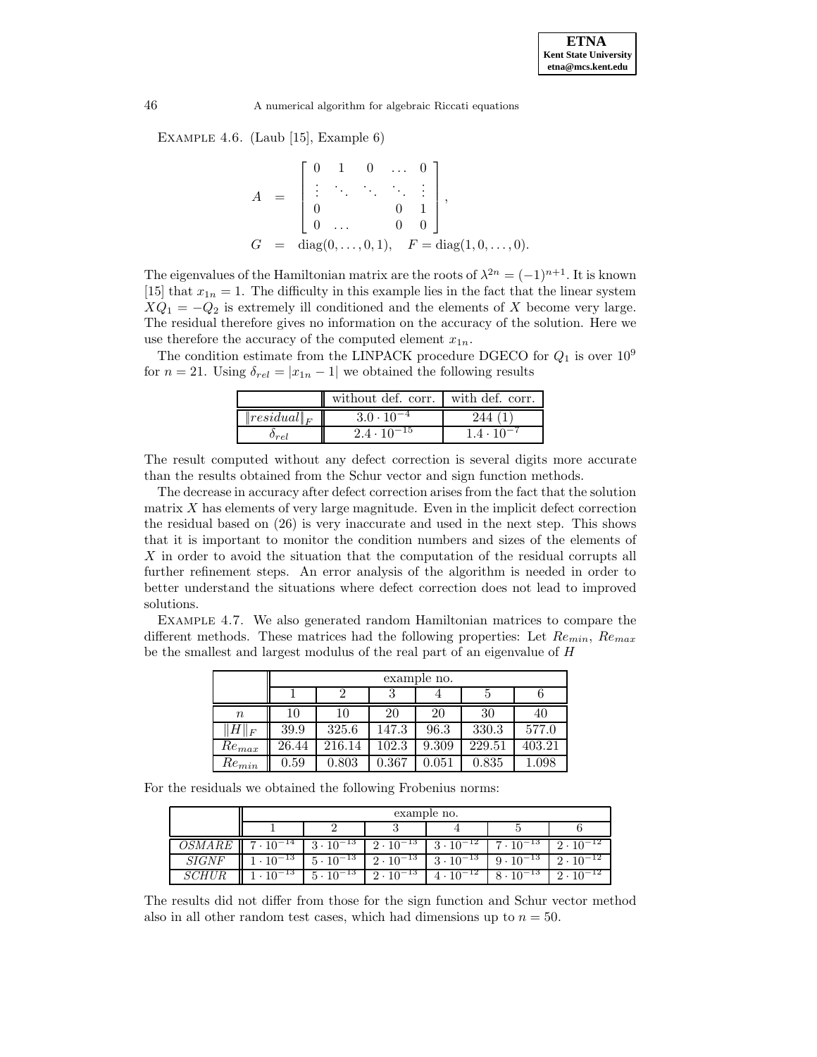Example 4.6. (Laub [15], Example 6)

$$
A = \begin{bmatrix} 0 & 1 & 0 & \dots & 0 \\ \vdots & \ddots & \ddots & \ddots & \vdots \\ 0 & & & 0 & 1 \\ 0 & \dots & & 0 & 0 \end{bmatrix},
$$
  
\n
$$
G = \text{diag}(0, \dots, 0, 1), \quad F = \text{diag}(1, 0, \dots, 0).
$$

The eigenvalues of the Hamiltonian matrix are the roots of  $\lambda^{2n} = (-1)^{n+1}$ . It is known [15] that  $x_{1n} = 1$ . The difficulty in this example lies in the fact that the linear system  $XQ_1 = -Q_2$  is extremely ill conditioned and the elements of X become very large. The residual therefore gives no information on the accuracy of the solution. Here we use therefore the accuracy of the computed element  $x_{1n}$ .

The condition estimate from the LINPACK procedure DGECO for  $Q_1$  is over 10<sup>9</sup> for  $n = 21$ . Using  $\delta_{rel} = |x_{1n} - 1|$  we obtained the following results

|                  | without def. corr. with def. corr. |                     |
|------------------|------------------------------------|---------------------|
| $\ residual\ _F$ | $3.0 \cdot 10^{-4}$                | 244                 |
| $0_{\tau e}$     | $2.4 \cdot 10^{-15}$               | $1.4 \cdot 10^{-7}$ |

The result computed without any defect correction is several digits more accurate than the results obtained from the Schur vector and sign function methods.

The decrease in accuracy after defect correction arises from the fact that the solution matrix  $X$  has elements of very large magnitude. Even in the implicit defect correction the residual based on (26) is very inaccurate and used in the next step. This shows that it is important to monitor the condition numbers and sizes of the elements of X in order to avoid the situation that the computation of the residual corrupts all further refinement steps. An error analysis of the algorithm is needed in order to better understand the situations where defect correction does not lead to improved solutions.

Example 4.7. We also generated random Hamiltonian matrices to compare the different methods. These matrices had the following properties: Let  $Re_{min}$ ,  $Re_{max}$ be the smallest and largest modulus of the real part of an eigenvalue of H

|            | example no. |        |       |       |        |        |  |
|------------|-------------|--------|-------|-------|--------|--------|--|
|            |             |        |       |       | G      |        |  |
| $\it{n}$   | 10          | 10     | 20    | 20    | 30     | 40     |  |
| $H\ _F$    | 39.9        | 325.6  | 147.3 | 96.3  | 330.3  | 577.0  |  |
| $Re_{max}$ | 26.44       | 216.14 | 102.3 | 9.309 | 229.51 | 403.21 |  |
| $Re_{min}$ | 0.59        | 0.803  | 0.367 | 0.051 | 0.835  | 1.098  |  |

For the residuals we obtained the following Frobenius norms:

|              | example no.        |                    |                    |                    |                    |                    |
|--------------|--------------------|--------------------|--------------------|--------------------|--------------------|--------------------|
|              |                    |                    |                    |                    |                    |                    |
|              | $(1.10^{-14})$     | $3 \cdot 10^{-13}$ | $2 \cdot 10^{-13}$ | $3 \cdot 10^{-12}$ | $7 \cdot 10^{-13}$ | $2 \cdot 10^{-12}$ |
| <i>SIGNF</i> | $1 \cdot 10^{-13}$ | $5 \cdot 10^{-13}$ | $2 \cdot 10^{-13}$ | $3 \cdot 10^{-13}$ | $9 \cdot 10^{-13}$ | $2 \cdot 10^{-12}$ |
| SCHDF        | -13                | $10^{-13}$<br>5 -  | $2 \cdot 10^{-13}$ | $4 \cdot 10^{-12}$ | $-13$<br>8         | 2.                 |

The results did not differ from those for the sign function and Schur vector method also in all other random test cases, which had dimensions up to  $n = 50$ .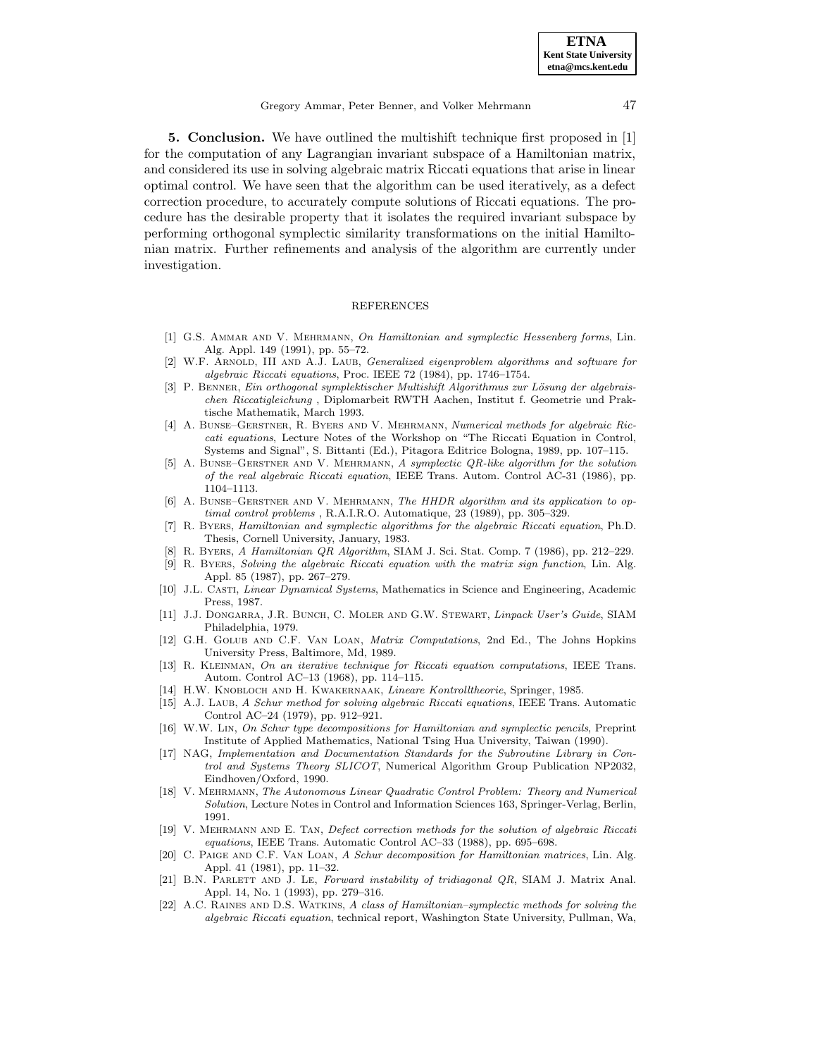**5. Conclusion.** We have outlined the multishift technique first proposed in [1] for the computation of any Lagrangian invariant subspace of a Hamiltonian matrix, and considered its use in solving algebraic matrix Riccati equations that arise in linear optimal control. We have seen that the algorithm can be used iteratively, as a defect correction procedure, to accurately compute solutions of Riccati equations. The procedure has the desirable property that it isolates the required invariant subspace by performing orthogonal symplectic similarity transformations on the initial Hamiltonian matrix. Further refinements and analysis of the algorithm are currently under investigation.

## REFERENCES

- [1] G.S. AMMAR AND V. MEHRMANN, On Hamiltonian and symplectic Hessenberg forms, Lin. Alg. Appl. 149 (1991), pp. 55–72.
- [2] W.F. ARNOLD, III AND A.J. LAUB, *Generalized eigenproblem algorithms and software for* algebraic Riccati equations, Proc. IEEE 72 (1984), pp. 1746–1754.
- [3] P. BENNER, Ein orthogonal symplektischer Multishift Algorithmus zur Lösung der algebraischen Riccatigleichung , Diplomarbeit RWTH Aachen, Institut f. Geometrie und Praktische Mathematik, March 1993.
- [4] A. Bunse–Gerstner, R. Byers and V. Mehrmann, Numerical methods for algebraic Riccati equations, Lecture Notes of the Workshop on "The Riccati Equation in Control, Systems and Signal", S. Bittanti (Ed.), Pitagora Editrice Bologna, 1989, pp. 107–115.
- [5] A. Bunse–Gerstner and V. Mehrmann, A symplectic QR-like algorithm for the solution of the real algebraic Riccati equation, IEEE Trans. Autom. Control AC-31 (1986), pp. 1104–1113.
- [6] A. Bunse–Gerstner and V. Mehrmann, The HHDR algorithm and its application to optimal control problems , R.A.I.R.O. Automatique, 23 (1989), pp. 305–329.
- [7] R. Byers, Hamiltonian and symplectic algorithms for the algebraic Riccati equation, Ph.D. Thesis, Cornell University, January, 1983.
- [8] R. Byers, A Hamiltonian QR Algorithm, SIAM J. Sci. Stat. Comp. 7 (1986), pp. 212–229.
- R. Byers, Solving the algebraic Riccati equation with the matrix sign function, Lin. Alg. Appl. 85 (1987), pp. 267–279.
- [10] J.L. CASTI, *Linear Dynamical Systems*, Mathematics in Science and Engineering, Academic Press, 1987.
- [11] J.J. Dongarra, J.R. Bunch, C. Moler and G.W. Stewart, Linpack User's Guide, SIAM Philadelphia, 1979.
- [12] G.H. Golub and C.F. Van Loan, Matrix Computations, 2nd Ed., The Johns Hopkins University Press, Baltimore, Md, 1989.
- [13] R. Kleinman, On an iterative technique for Riccati equation computations, IEEE Trans. Autom. Control AC–13 (1968), pp. 114–115.
- [14] H.W. KNOBLOCH AND H. KWAKERNAAK, Lineare Kontrolltheorie, Springer, 1985.
- [15] A.J. LAUB, A Schur method for solving algebraic Riccati equations, IEEE Trans. Automatic Control AC–24 (1979), pp. 912–921.
- [16] W.W. Lin, On Schur type decompositions for Hamiltonian and symplectic pencils, Preprint Institute of Applied Mathematics, National Tsing Hua University, Taiwan (1990).
- [17] NAG, Implementation and Documentation Standards for the Subroutine Library in Control and Systems Theory SLICOT, Numerical Algorithm Group Publication NP2032, Eindhoven/Oxford, 1990.
- [18] V. Mehrmann, The Autonomous Linear Quadratic Control Problem: Theory and Numerical Solution, Lecture Notes in Control and Information Sciences 163, Springer-Verlag, Berlin, 1991.
- [19] V. Mehrmann and E. Tan, Defect correction methods for the solution of algebraic Riccati equations, IEEE Trans. Automatic Control AC–33 (1988), pp. 695–698.
- [20] C. Paige and C.F. Van Loan, A Schur decomposition for Hamiltonian matrices, Lin. Alg. Appl. 41 (1981), pp. 11–32.
- [21] B.N. PARLETT AND J. LE, Forward instability of tridiagonal QR, SIAM J. Matrix Anal. Appl. 14, No. 1 (1993), pp. 279–316.
- [22] A.C. Raines and D.S. Watkins, A class of Hamiltonian–symplectic methods for solving the algebraic Riccati equation, technical report, Washington State University, Pullman, Wa,